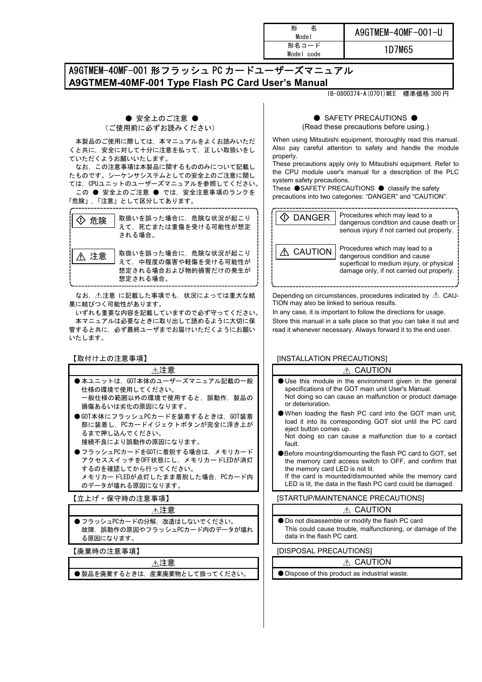| 名<br>形<br>Model     | A9GTMEM-40MF-001-U |
|---------------------|--------------------|
| 形名コード<br>Model code | 1D7M65             |

# A9GTMEM-40MF-001 形フラッシュ PC カードユーザーズマニュアル **A9GTMEM-40MF-001 Type Flash PC Card User's Manual**

IB-0800374-A(0701)MEE 標準価格 300 円

## ● 安全上のご注意 ● (ご使用前に必ずお読みください)

 本製品のご使用に際しては,本マニュアルをよくお読みいただ くと共に,安全に対して十分に注意を払って,正しい取扱いをし ていただくようお願いいたします。

 なお,この注意事項は本製品に関するもののみについて記載し たものです。シーケンサシステムとしての安全上のご注意に関し ては,CPUユニットのユーザーズマニュアルを参照してください。

 この ● 安全上のご注意 ● では,安全注意事項のランクを 「危険」,「注意」として区分してあります。

| 危険 | 取扱いを誤った場合に、危険な状況が起こり<br>えて、死亡または重傷を受ける可能性が想定                                               |
|----|--------------------------------------------------------------------------------------------|
| 注意 | される場合。<br>取扱いを誤った場合に、危険な状況が起こり<br>えて、中程度の傷害や軽傷を受ける可能性が<br>想定される場合および物的損害だけの発生が<br>想定される場合。 |

 なお, 注意 に記載した事項でも,状況によっては重大な結 果に結びつく可能性があります。

 いずれも重要な内容を記載していますので必ず守ってください。 本マニュアルは必要なときに取り出して読めるように大切に保 管すると共に,必ず最終ユーザまでお届けいただくようにお願い いたします。

【取付け上の注意事項】

| 不注意                             |
|---------------------------------|
| ●本ユニットは、GOT本体のユーザーズマニュアル記載の一般   |
| 仕様の環境で使用してください。                 |
| 一般仕様の範囲以外の環境で使用すると.誤動作.製品の      |
| 損傷あるいは劣化の原因になります。               |
| ●GOT本体にフラッシュPCカードを装着するときは、GOT装着 |
| 部に装着し、PCカードイジェクトボタンが完全に浮き上が     |
| るまで押し込んでください。                   |
| 接続不良により誤動作の原因になります。             |
| ● フラッシュPCカードをGOTに着脱する場合は.メモリカード |
| アクセススイッチをOFF状態にし、メモリカードLEDが消灯   |
| するのを確認してから行ってください。              |

するのを確認してから行ってください。 メモリカードLEDが点灯したまま着脱した場合、PCカード内 のデータが壊れる原因になります。

【立上げ・保守時の注意事項】

#### 注意

● フラッシュPCカードの分解。改造はしないでください。 故障. 誤動作の原因やフラッシュPCカード内のデータが壊れ る原因になります。

【廃棄時の注意事項】

| -------------------- |                               |
|----------------------|-------------------------------|
|                      |                               |
|                      | ● 製品を廃棄するときは、産業廃棄物として扱ってください。 |

### ● SAFETY PRECAUTIONS ●

(Read these precautions before using.)

When using Mitsubishi equipment, thoroughly read this manual. Also pay careful attention to safety and handle the module properly.

These precautions apply only to Mitsubishi equipment. Refer to the CPU module user's manual for a description of the PLC system safety precautions.

These ●SAFETY PRECAUTIONS ● classify the safety precautions into two categories: "DANGER" and "CAUTION".



Depending on circumstances, procedures indicated by  $\triangle$  CAU-TION may also be linked to serious results.

In any case, it is important to follow the directions for usage. Store this manual in a safe place so that you can take it out and read it whenever necessary. Always forward it to the end user.

## [INSTALLATION PRECAUTIONS]

## A CAUTION

- Use this module in the environment given in the general specifications of the GOT main unit User's Manual. Not doing so can cause an malfunction or product damage or deterioration.
- When loading the flash PC card into the GOT main unit, load it into its corresponding GOT slot until the PC card eject button comes up.

Not doing so can cause a malfunction due to a contact fault.

●Before mounting/dismounting the flash PC card to GOT, set the memory card access switch to OFF, and confirm that the memory card LED is not lit. If the card is mounted/dismounted while the memory card

LED is lit, the data in the flash PC card could be damaged.

[STARTUP/MAINTENANCE PRECAUTIONS]

#### A CAUTION

● Do not disassemble or modify the flash PC card This could cause trouble, malfunctioning, or damage of the data in the flash PC card.

**IDISPOSAL PRECAUTIONS]** 

## A CAUTION

● Dispose of this product as industrial waste.